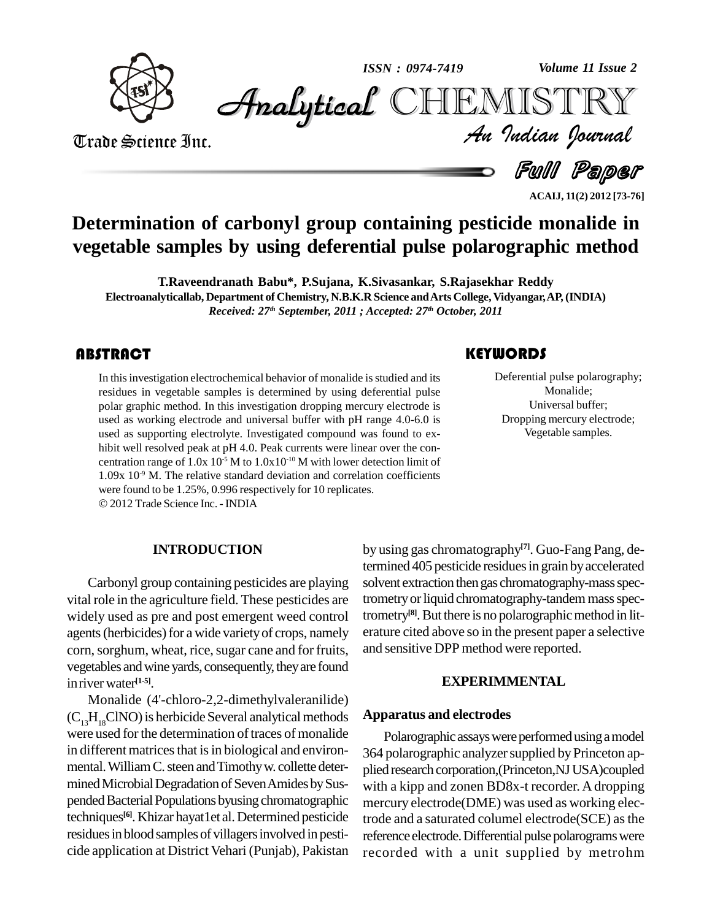

*Volume 11 Issue 2*



Trade Science Inc. Trade Science Inc.

*Volume 11 Issue 2*<br>IISTRY<br>Indian Iournal

Deferential pulse pola<br>Monalide;<br>Universal buff

**KEYWORDS** 

a Full Paper

**ACAIJ, 11(2) 2012 [73-76]**

Deferential pulse polarography; Monalide; Universal buffer; Dropping mercury electrode; Vegetable samples.

## **Determination of carbonyl group containing pesticide monalide in vegetable samples by using deferential pulse polarographic method**

**T.Raveendranath Babu\*, P.Sujana, K.Sivasankar, S.Rajasekhar Reddy Electroanalyticallab, Department of Chemistry, N.B.K.R Science andArts College, Vidyangar,AP,(INDIA)** *Received: 27 th September, 2011 ; Accepted: 27 th October, 2011*

In this investigation electrochemical behavior of monalide is studied and its<br>residues in vegetable samples is determined by using deferential pulse<br>polar graphic method. In this investigation dropping mercury electrode is In this investigation electrochemical behavior of monalide is studied and its residues in vegetable samples is determined by using deferential pulse used as working electrode and universal buffer with pH range 4.0-6.0 is used as supporting electrolyte. Investigated compound was found to ex hibit well resolved peak at pH 4.0. Peak currents were linear over the con centration range of  $1.0x\,10^{-5}$  M to  $1.0x10^{-10}$  M with lower detection limit of  $1.09x\ 10^{-9}$  M. The relative standard deviation and correlation coefficients were found to be 1.25%, 0.996 respectively for <sup>10</sup> replicates.

2012 Trade Science Inc. -INDIA

#### **INTRODUCTION**

Carbonyl group containing pesticides are playing vital role in the agriculture field. These pesticides are widely used as pre and post emergent weed control agents (herbicides) for a wide variety of crops, namely corn, sorghum, wheat, rice, sugar cane and for fruits, vegetables and wine yards, consequently, they are found inriver water **[1-5]**.

Monalide (4'-chloro-2,2-dimethylvaleranilide)  $(C_{12}H_{18}CINO)$  is herbicide Several analytical methods were used for the determination of traces of monalide in different matrices that is in biological and environmental. William C. steen and Timothy w. collette determined Microbial Degradation of Seven Amides by Suspended Bacterial Populations byusing chromatographic techniques<sup>[6]</sup>. Khizar hayat1et al. Determined pesticide trode residues in blood samples of villagers involved in pesticide application at District Vehari (Punjab), Pakistan

by using gas chromatography **[7]**. Guo-Fang Pang, determined 405 pesticide residues in grain by accelerated solvent extraction then gas chromatography-mass spectrometry or liquid chromatography-tandem mass spectrometry<sup>[8]</sup>. But there is no polarographic method in literature cited above so in the present paper a selective and sensitive DPP method were reported.

#### **EXPERIMMENTAL**

#### **Apparatus and electrodes**

Polarographic assays were performed using a model 364 polarographic analyzer supplied by Princeton applied research corporation,(Princeton,NJ USA)coupled with a kipp and zonen BD8x-t recorder. A dropping mercury electrode(DME) was used as working electrode and a saturated columel electrode(SCE) asthe reference electrode. Differential pulse polarograms were recorded with a unit supplied by metrohm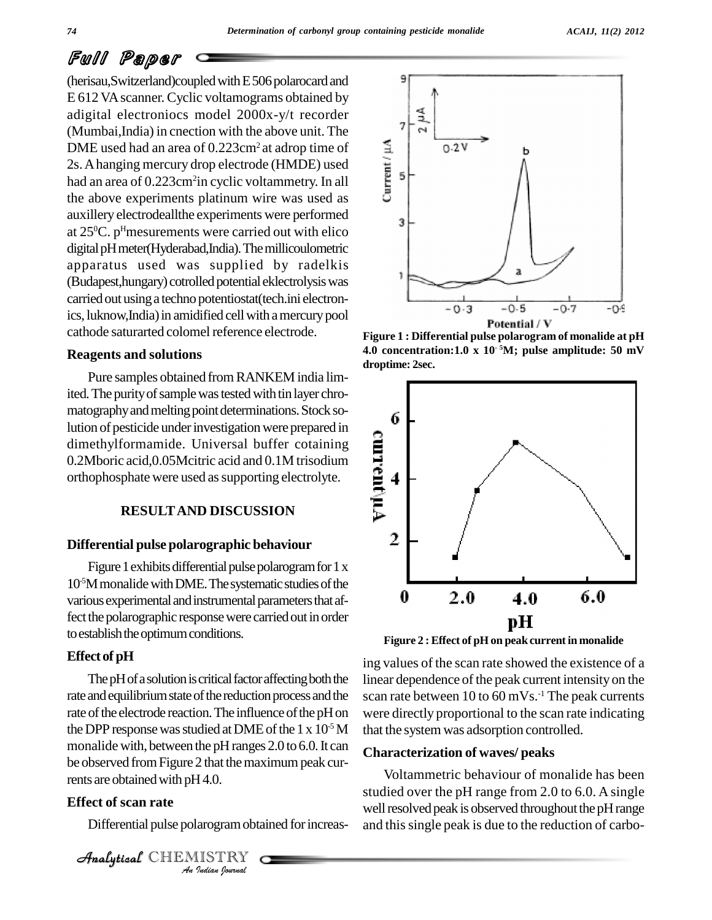#### *ACAIJ, 11(2) 2012*

## Full Paper

(herisau, Switzerland)coupled with E506 polarocard and  $\frac{9}{5}$ E 612 VA scanner. Cyclic voltamograms obtained by adigital electroniocs model 2000x-y/t recorder (Mumbai,India) in cnection with the above unit. The<br>DME used had an area of  $0.223 \text{cm}^2$  at adrop time of<br>2s. A hanging mercury drop electrode (HMDE) used<br>had an area of  $0.223 \text{cm}^2$  in cyclic voltammetry. In all<br>the DME used had an area of 0.223cm<sup>2</sup> at adrop time of 2s. A hanging mercury drop electrode (HMDE) used had an area of 0.223cm<sup>2</sup>in cyclic voltammetry. In all the above experiments platinum wire was used as auxillery electrodeallthe experiments were performed at 25 <sup>0</sup>C. p <sup>H</sup>mesurements were carried out with elico digital pH meter(Hyderabad,India). The millicoulometric apparatus used was supplied by radelkis (Budapest,hungary) cotrolled potential eklectrolysis was carried out using a techno potentiostat (tech.ini electronics, luknow, India) in amidified cell with a mercury pool cathode saturarted colomel reference electrode.

#### **Reagents and solutions**

Pure samples obtained fromRANKEM india limited. The purity of sample was tested with tin layer chromatography and melting point determinations. Stock somatography and melting point determinations. Stock solution of pesticide under investigation were prepared in<br>dimethylformamide. Universal buffer cotaining<br>0.2Mboric acid,0.05Mcitric acid and 0.1M trisodium<br>orthophosphate dimethylformamide. Universal buffer cotaining 0.2Mboric acid,0.05Mcitric acid and 0.1M trisodium orthophosphate were used as supporting electrolyte.

#### **RESULTAND DISCUSSION**

#### **Differential pulse polarographic behaviour**

Figure 1 exhibits differential pulse polarogram for  $1 \times$ 10<sup>-5</sup>M monalide with DME. The systematic studies of the various experimental and instrumental parameters that affect the polarographic response were carried out in order to establish the optimum conditions.

#### **Effect of pH**

rents are obtained with pH4.0. *I*<br>*I*.Com<br>*ISTRY*<br>*Indian bournal* The pH of a solution is critical factor affecting both the rate and equilibrium state of the reduction process and the rate of the electrode reaction. The influence of the pH on the DPP response was studied at DME of the 1 x  $10^{-5}$  M monalide with, between the  $pH$  ranges  $2.0$  to  $6.0$ . It can be observed from Figure 2 that the maximum peak cur-

#### **Effect of scan rate**

Differential pulse polarogram obtained for increas-

CHEMISTRY



**Figure 1 : Differential pulse polarogram of monalide at pH 4.0 concentration:1.0 x 10 - <sup>5</sup>M; pulse amplitude: 50 mV droptime: 2sec.**



**Figure 2 :Effect of pH on peak current in monalide**

-5M that the systemwas adsorption controlled. ing values of the scan rate showed the existence of a linear dependence of the peak current intensity on the scan rate between 10 to 60 mVs. -1 The peak currents were directly proportional to the scan rate indicating

#### **Characterization of waves/ peaks**

Voltammetric behaviour of monalide has been studied over the pH range from 2.0 to 6.0. A single well resolved peak is observed throughout the pH range and this single peak is due to the reduction of carbo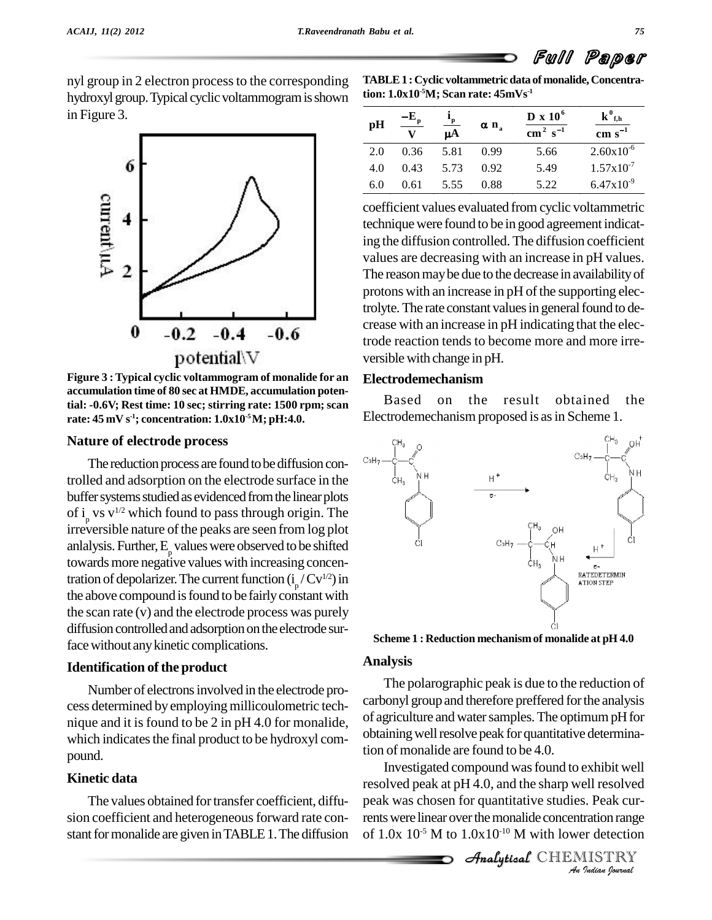nyl group in 2 electron process to the corresponding hydroxyl group. Typical cyclic voltammogram is shown in Figure 3.



**Figure 3 :Typical cyclic voltammogram of monalide for an accumulation time of 80 sec at HMDE, accumulation potential: -0.6V; Rest time: 10 sec; stirring rate: 1500 rpm; scan rate: 45 mV s -1; concentration: 1.0x10 -5M; pH:4.0.**

#### **Nature of electrode process**

The reduction process are found to be diffusion controlled and adsorption on the electrode surface in the  $\mathbb{H}_{3}$ buffer systems studied as evidenced from the linear plots of  $i_{p}$  vs v<sup>1/2</sup> which found to pass through origin. The irreversible nature of the peaks are seen from log plot anlalysis. Further,  $E_{\rho}$  values were observed to be shifted towards more negative values with increasing concentration of depolarizer. The current function  $(i_p/Cv^{1/2})$  in the above compound is found to be fairly constant with the scan rate (v) and the electrode process was purely diffusion controlled and adsorption on the electrode surface without any kinetic complications.

#### **Identification** of the product

Number of electronsinvolved in the electrode pro cess determined by employing millicoulometric technique and it is found to be 2 in pH 4.0 for monalide, which indicates the final product to be hydroxyl compound.

### **Kinetic data**

The values obtained for transfer coefficient, diffusion coefficient and heterogeneous forward rate constant for monalide are given in TABLE 1. The diffusion **TABLE1 : Cyclic voltammetricdata of monalide, Concentration: 1.0x10 -5M; Scan rate: 45mVs -1**

| ion: 1.0x10°M; Scan rate: 45mVs <sup>.1</sup> |                            |                       |                         |                                                            |                                                     |  |  |  |
|-----------------------------------------------|----------------------------|-----------------------|-------------------------|------------------------------------------------------------|-----------------------------------------------------|--|--|--|
| pH                                            | $-\mathbf{E}_{\mathbf{p}}$ | $\frac{P_{p}}{\mu A}$ | $\alpha$ n <sub>a</sub> | $D \times 10^6$<br>$\overline{\text{cm}^2 \text{ s}^{-1}}$ | ${\bf k}^0_{f, h}$<br>$\overline{\text{cm s}^{-1}}$ |  |  |  |
| 2.0                                           | 0.36                       | 5.81                  | 0.99                    | 5.66                                                       | $2.60x10^{-6}$                                      |  |  |  |
| 4.0                                           | 0.43                       | 5.73                  | 0.92                    | 5.49                                                       | $1.57 \times 10^{-7}$                               |  |  |  |
| 6.0                                           | 0.61                       | 5.55                  | 0.88                    | 5.22                                                       | $6.47 \times 10^{-9}$                               |  |  |  |

coefficient values evaluated from cyclic voltammetric technique were found to be in good agreement indicating the diffusion controlled. The diffusion coefficient values are decreasing with an increase in pH values. The reason may be due to the decrease in availability of protons with an increase in pH of the supporting electrolyte. The rate constant values in general found to decrease with an increase in pH indicating that the electrode reaction tends to become more and more irre versible with change in pH.

#### **Electrodemechanism**

Based on the result obtained the Electrodemechanism proposed is as in Scheme 1.



**Scheme 1 : Reduction mechanismof monalide at pH 4.0**

#### **Analysis**

The polarographic peak is due to the reduction of carbonyl group and therefore preffered forthe analysis of agriculture and water samples. The optimum pH for obtaining well resolve peak for quantitative determination of monalide are found to be 4.0.

*An*Investigated compound wasfound to exhibit well **Indiana Indiana Property**<br>*Indian Indian fournal***<br>***IISTRY***<br>***Indian fournal* Analyticalresolved peak at pH 4.0, and the sharp well resolved peak was chosen for quantitative studies. Peak currents were linear over the monalide concentration range of  $1.0x$   $10^{-5}$  M to  $1.0x10^{-10}$  M with lower detection

Analytical CHEMISTRY